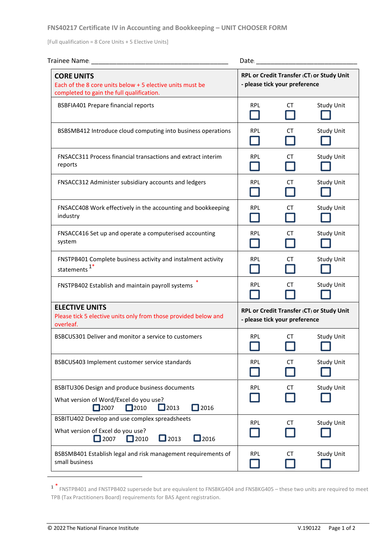## **FNS40217 Certificate IV in Accounting and Bookkeeping – UNIT CHOOSER FORM**

[Full qualification = 8 Core Units + 5 Elective Units]

| Trainee Name:                                                                                                                                               | Date:                                                                      |    |                   |
|-------------------------------------------------------------------------------------------------------------------------------------------------------------|----------------------------------------------------------------------------|----|-------------------|
| <b>CORE UNITS</b><br>Each of the 8 core units below + 5 elective units must be<br>completed to gain the full qualification.                                 | RPL or Credit Transfer (CT) or Study Unit<br>- please tick your preference |    |                   |
| <b>BSBFIA401 Prepare financial reports</b>                                                                                                                  | <b>RPL</b>                                                                 | CT | <b>Study Unit</b> |
| BSBSMB412 Introduce cloud computing into business operations                                                                                                | <b>RPL</b><br>$\mathcal{L}$                                                | СT | <b>Study Unit</b> |
| FNSACC311 Process financial transactions and extract interim<br>reports                                                                                     | <b>RPL</b>                                                                 | СT | <b>Study Unit</b> |
| FNSACC312 Administer subsidiary accounts and ledgers                                                                                                        | <b>RPL</b>                                                                 | CT | <b>Study Unit</b> |
| FNSACC408 Work effectively in the accounting and bookkeeping<br>industry                                                                                    | <b>RPL</b>                                                                 | CТ | <b>Study Unit</b> |
| FNSACC416 Set up and operate a computerised accounting<br>system                                                                                            | <b>RPL</b>                                                                 | СT | <b>Study Unit</b> |
| FNSTPB401 Complete business activity and instalment activity<br>statements <sup>1*</sup>                                                                    | <b>RPL</b>                                                                 | СT | <b>Study Unit</b> |
| FNSTPB402 Establish and maintain payroll systems                                                                                                            | <b>RPL</b>                                                                 | CT | <b>Study Unit</b> |
| <b>ELECTIVE UNITS</b><br>Please tick 5 elective units only from those provided below and<br>overleaf.                                                       | RPL or Credit Transfer (CT) or Study Unit<br>- please tick your preference |    |                   |
| BSBCUS301 Deliver and monitor a service to customers                                                                                                        | <b>RPL</b>                                                                 | СT | <b>Study Unit</b> |
| BSBCUS403 Implement customer service standards                                                                                                              | <b>RPL</b>                                                                 | СT | <b>Study Unit</b> |
| BSBITU306 Design and produce business documents<br>What version of Word/Excel do you use?<br>$\Box$ 2013<br>$\square$ 2007<br>$\square$ 2010<br>$\Box$ 2016 | <b>RPL</b>                                                                 | CT | <b>Study Unit</b> |
| BSBITU402 Develop and use complex spreadsheets<br>What version of Excel do you use?<br>$\Box$ 2016<br>$\Box$ 2013<br>$\Box$ 2007<br>$\Box$ 2010             | <b>RPL</b>                                                                 | СT | <b>Study Unit</b> |
| BSBSMB401 Establish legal and risk management requirements of<br>small business                                                                             | <b>RPL</b>                                                                 | CT | <b>Study Unit</b> |

<sup>1</sup> \* FNSTPB401 and FNSTPB402 supersede but are equivalent to FNSBKG404 and FNSBKG405 – these two units are required to meet TPB (Tax Practitioners Board) requirements for BAS Agent registration.